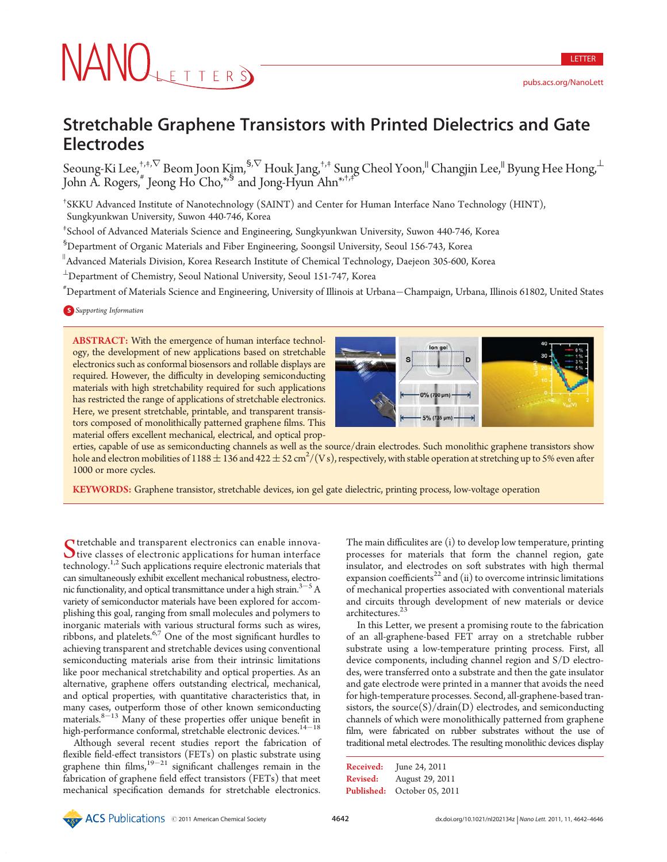# NANOLETTERS

# Stretchable Graphene Transistors with Printed Dielectrics and Gate Electrodes

Seoung-Ki Lee, ${}^{+,+,\nabla}_{-}$  Beom Joon Kiౖm, ${}^{\$,\nabla}$  Houk Jang, ${}^{+,+}$  Sung Cheol Yoon, ${}^|$  Changjin Lee, ${}^|$  Byung Hee Hong, ${}^{\bot}$ John A. Rogers,  $\check{g}$  Jeong Ho Cho, $\check{g}$  and Jong-Hyun Ahn $\check{f}$ , $\check{f}$ 

† SKKU Advanced Institute of Nanotechnology (SAINT) and Center for Human Interface Nano Technology (HINT), Sungkyunkwan University, Suwon 440-746, Korea

‡ School of Advanced Materials Science and Engineering, Sungkyunkwan University, Suwon 440-746, Korea

 $^{\rm 5}$ Department of Organic Materials and Fiber Engineering, Soongsil University, Seoul 156-743, Korea

 $^{\parallel}$ Advanced Materials Division, Korea Research Institute of Chemical Technology, Daejeon 305-600, Korea

 $^\perp$ Department of Chemistry, Seoul National University, Seoul 151-747, Korea

# Department of Materials Science and Engineering, University of Illinois at Urbana-Champaign, Urbana, Illinois 61802, United States

**S** Supporting Information

ABSTRACT: With the emergence of human interface technology, the development of new applications based on stretchable electronics such as conformal biosensors and rollable displays are required. However, the difficulty in developing semiconducting materials with high stretchability required for such applications has restricted the range of applications of stretchable electronics. Here, we present stretchable, printable, and transparent transistors composed of monolithically patterned graphene films. This material offers excellent mechanical, electrical, and optical prop-



LETTER

pubs.acs.org/NanoLett

erties, capable of use as semiconducting channels as well as the source/drain electrodes. Such monolithic graphene transistors show hole and electron mobilities of 1188  $\pm$  136 and 422  $\pm$  52 cm $^2$ /(V s), respectively, with stable operation at stretching up to 5% even after 1000 or more cycles.

KEYWORDS: Graphene transistor, stretchable devices, ion gel gate dielectric, printing process, low-voltage operation

Stretchable and transparent electronics can enable innova- $\bigcup$  tive classes of electronic applications for human interface technology. $1,2$  Such applications require electronic materials that can simultaneously exhibit excellent mechanical robustness, electronic functionality, and optical transmittance under a high strain. $3-5$  A variety of semiconductor materials have been explored for accomplishing this goal, ranging from small molecules and polymers to inorganic materials with various structural forms such as wires, ribbons, and platelets.6,7 One of the most significant hurdles to achieving transparent and stretchable devices using conventional semiconducting materials arise from their intrinsic limitations like poor mechanical stretchability and optical properties. As an alternative, graphene offers outstanding electrical, mechanical, and optical properties, with quantitative characteristics that, in many cases, outperform those of other known semiconducting materials.<sup>8-13</sup> Many of these properties offer unique benefit in high-performance conformal, stretchable electronic devices.<sup>14-18</sup>

Although several recent studies report the fabrication of flexible field-effect transistors (FETs) on plastic substrate using graphene thin films, $19-21$  significant challenges remain in the fabrication of graphene field effect transistors (FETs) that meet mechanical specification demands for stretchable electronics.

The main difficulites are (i) to develop low temperature, printing processes for materials that form the channel region, gate insulator, and electrodes on soft substrates with high thermal expansion coefficients<sup>22</sup> and (ii) to overcome intrinsic limitations of mechanical properties associated with conventional materials and circuits through development of new materials or device architectures.<sup>23</sup>

In this Letter, we present a promising route to the fabrication of an all-graphene-based FET array on a stretchable rubber substrate using a low-temperature printing process. First, all device components, including channel region and S/D electrodes, were transferred onto a substrate and then the gate insulator and gate electrode were printed in a manner that avoids the need for high-temperature processes. Second, all-graphene-based transistors, the source $(S)/$ drain $(D)$  electrodes, and semiconducting channels of which were monolithically patterned from graphene film, were fabricated on rubber substrates without the use of traditional metal electrodes. The resulting monolithic devices display

| Received:         | June 24, 2011    |
|-------------------|------------------|
| <b>Revised:</b>   | August 29, 2011  |
| <b>Published:</b> | October 05, 2011 |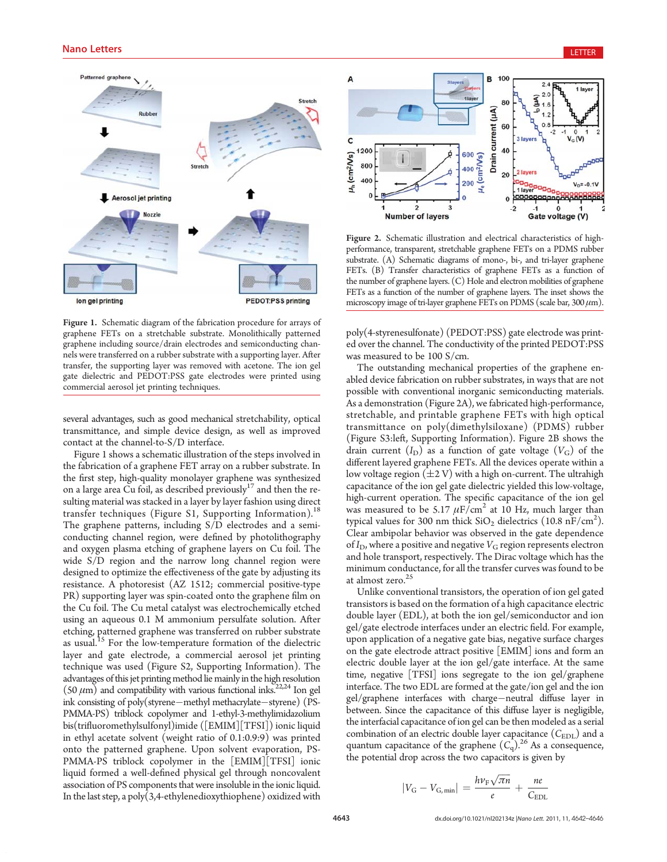

Figure 1. Schematic diagram of the fabrication procedure for arrays of graphene FETs on a stretchable substrate. Monolithically patterned graphene including source/drain electrodes and semiconducting channels were transferred on a rubber substrate with a supporting layer. After transfer, the supporting layer was removed with acetone. The ion gel gate dielectric and PEDOT:PSS gate electrodes were printed using commercial aerosol jet printing techniques.

several advantages, such as good mechanical stretchability, optical transmittance, and simple device design, as well as improved contact at the channel-to-S/D interface.

Figure 1 shows a schematic illustration of the steps involved in the fabrication of a graphene FET array on a rubber substrate. In the first step, high-quality monolayer graphene was synthesized on a large area Cu foil, as described previously $17$  and then the resulting material was stacked in a layer by layer fashion using direct transfer techniques (Figure S1, Supporting Information).<sup>18</sup> The graphene patterns, including S/D electrodes and a semiconducting channel region, were defined by photolithography and oxygen plasma etching of graphene layers on Cu foil. The wide S/D region and the narrow long channel region were designed to optimize the effectiveness of the gate by adjusting its resistance. A photoresist (AZ 1512; commercial positive-type PR) supporting layer was spin-coated onto the graphene film on the Cu foil. The Cu metal catalyst was electrochemically etched using an aqueous 0.1 M ammonium persulfate solution. After etching, patterned graphene was transferred on rubber substrate as usual.<sup>15</sup> For the low-temperature formation of the dielectric layer and gate electrode, a commercial aerosol jet printing technique was used (Figure S2, Supporting Information). The advantages of this jet printing method lie mainly in the high resolution  $(50 \mu m)$  and compatibility with various functional inks.<sup>22,24</sup> Ion gel ink consisting of poly(styrene-methyl methacrylate-styrene) (PS-PMMA-PS) triblock copolymer and 1-ethyl-3-methylimidazolium bis(trifluoromethylsulfonyl)imide ([EMIM][TFSI]) ionic liquid in ethyl acetate solvent (weight ratio of 0.1:0.9:9) was printed onto the patterned graphene. Upon solvent evaporation, PS-PMMA-PS triblock copolymer in the [EMIM][TFSI] ionic liquid formed a well-defined physical gel through noncovalent association of PS components that were insoluble in the ionic liquid. In the last step, a poly(3,4-ethylenedioxythiophene) oxidized with



Figure 2. Schematic illustration and electrical characteristics of highperformance, transparent, stretchable graphene FETs on a PDMS rubber substrate. (A) Schematic diagrams of mono-, bi-, and tri-layer graphene FETs. (B) Transfer characteristics of graphene FETs as a function of the number of graphene layers. (C) Hole and electron mobilities of graphene FETs as a function of the number of graphene layers. The inset shows the microscopy image of tri-layer graphene FETs on PDMS (scale bar,  $300 \mu m$ ).

poly(4-styrenesulfonate) (PEDOT:PSS) gate electrode was printed over the channel. The conductivity of the printed PEDOT:PSS was measured to be 100 S/cm.

The outstanding mechanical properties of the graphene enabled device fabrication on rubber substrates, in ways that are not possible with conventional inorganic semiconducting materials. As a demonstration (Figure 2A), we fabricated high-performance, stretchable, and printable graphene FETs with high optical transmittance on poly(dimethylsiloxane) (PDMS) rubber (Figure S3:left, Supporting Information). Figure 2B shows the drain current  $(I_D)$  as a function of gate voltage  $(V_G)$  of the different layered graphene FETs. All the devices operate within a low voltage region  $(\pm 2 \text{ V})$  with a high on-current. The ultrahigh capacitance of the ion gel gate dielectric yielded this low-voltage, high-current operation. The specific capacitance of the ion gel was measured to be 5.17  $\mu$ F/cm<sup>2</sup> at 10 Hz, much larger than typical values for 300 nm thick  $SiO_2$  dielectrics (10.8 nF/cm<sup>2</sup>). Clear ambipolar behavior was observed in the gate dependence of  $I_D$ , where a positive and negative  $V_G$  region represents electron and hole transport, respectively. The Dirac voltage which has the minimum conductance, for all the transfer curves was found to be at almost zero.<sup>25</sup>

Unlike conventional transistors, the operation of ion gel gated transistors is based on the formation of a high capacitance electric double layer (EDL), at both the ion gel/semiconductor and ion gel/gate electrode interfaces under an electric field. For example, upon application of a negative gate bias, negative surface charges on the gate electrode attract positive [EMIM] ions and form an electric double layer at the ion gel/gate interface. At the same time, negative [TFSI] ions segregate to the ion gel/graphene interface. The two EDL are formed at the gate/ion gel and the ion gel/graphene interfaces with charge-neutral diffuse layer in between. Since the capacitance of this diffuse layer is negligible, the interfacial capacitance of ion gel can be then modeled as a serial combination of an electric double layer capacitance  $(C_{EDL})$  and a quantum capacitance of the graphene  $(C_q)$ .<sup>26</sup> As a consequence, the potential drop across the two capacitors is given by

$$
|V_{\rm G} - V_{\rm G,min}| = \frac{h\nu_{\rm F}\sqrt{\pi n}}{e} + \frac{ne}{C_{\rm EDL}}
$$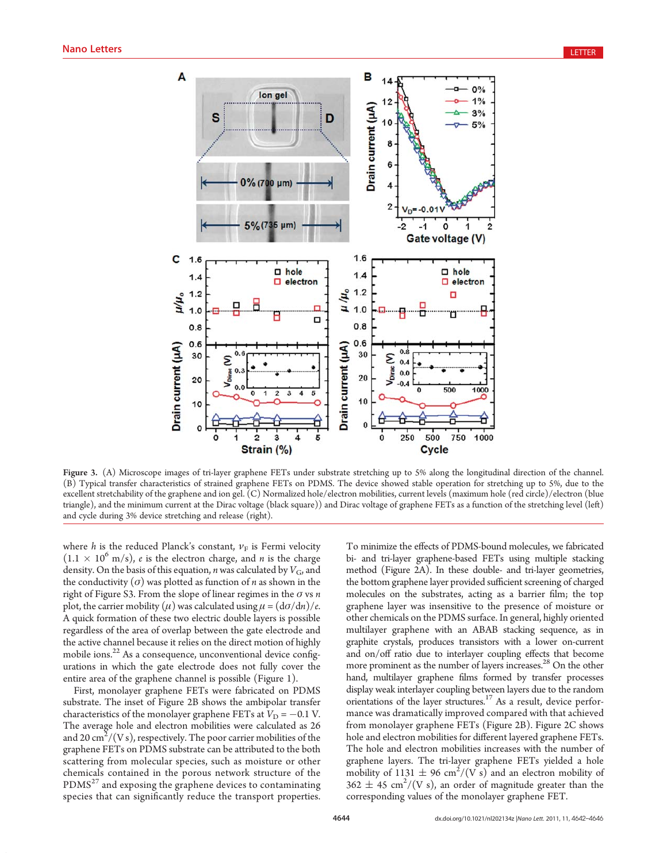

Figure 3. (A) Microscope images of tri-layer graphene FETs under substrate stretching up to 5% along the longitudinal direction of the channel. (B) Typical transfer characteristics of strained graphene FETs on PDMS. The device showed stable operation for stretching up to 5%, due to the excellent stretchability of the graphene and ion gel. (C) Normalized hole/electron mobilities, current levels (maximum hole (red circle)/electron (blue triangle), and the minimum current at the Dirac voltage (black square)) and Dirac voltage of graphene FETs as a function of the stretching level (left) and cycle during 3% device stretching and release (right).

where h is the reduced Planck's constant,  $v_F$  is Fermi velocity  $(1.1 \times 10^6 \text{ m/s})$ , *e* is the electron charge, and *n* is the charge density. On the basis of this equation, *n* was calculated by  $V_G$ , and the conductivity ( $\sigma$ ) was plotted as function of *n* as shown in the right of Figure S3. From the slope of linear regimes in the  $\sigma$  vs n plot, the carrier mobility ( $\mu$ ) was calculated using  $\mu = (d\sigma/dn)/e$ . A quick formation of these two electric double layers is possible regardless of the area of overlap between the gate electrode and the active channel because it relies on the direct motion of highly mobile ions.22 As a consequence, unconventional device configurations in which the gate electrode does not fully cover the entire area of the graphene channel is possible (Figure 1).

First, monolayer graphene FETs were fabricated on PDMS substrate. The inset of Figure 2B shows the ambipolar transfer characteristics of the monolayer graphene FETs at  $V_D = -0.1$  V. The average hole and electron mobilities were calculated as 26 and 20  $\text{cm}^2\text{/(V\,s)}$ , respectively. The poor carrier mobilities of the graphene FETs on PDMS substrate can be attributed to the both scattering from molecular species, such as moisture or other chemicals contained in the porous network structure of the  $PDMS<sup>27</sup>$  and exposing the graphene devices to contaminating species that can significantly reduce the transport properties.

To minimize the effects of PDMS-bound molecules, we fabricated bi- and tri-layer graphene-based FETs using multiple stacking method (Figure 2A). In these double- and tri-layer geometries, the bottom graphene layer provided sufficient screening of charged molecules on the substrates, acting as a barrier film; the top graphene layer was insensitive to the presence of moisture or other chemicals on the PDMS surface. In general, highly oriented multilayer graphene with an ABAB stacking sequence, as in graphite crystals, produces transistors with a lower on-current and on/off ratio due to interlayer coupling effects that become more prominent as the number of layers increases.<sup>28</sup> On the other hand, multilayer graphene films formed by transfer processes display weak interlayer coupling between layers due to the random orientations of the layer structures.17 As a result, device performance was dramatically improved compared with that achieved from monolayer graphene FETs (Figure 2B). Figure 2C shows hole and electron mobilities for different layered graphene FETs. The hole and electron mobilities increases with the number of graphene layers. The tri-layer graphene FETs yielded a hole mobility of 1131  $\pm$  96 cm<sup>2</sup>/(V s) and an electron mobility of  $362 \pm 45$  cm<sup>2</sup>/(V s), an order of magnitude greater than the corresponding values of the monolayer graphene FET.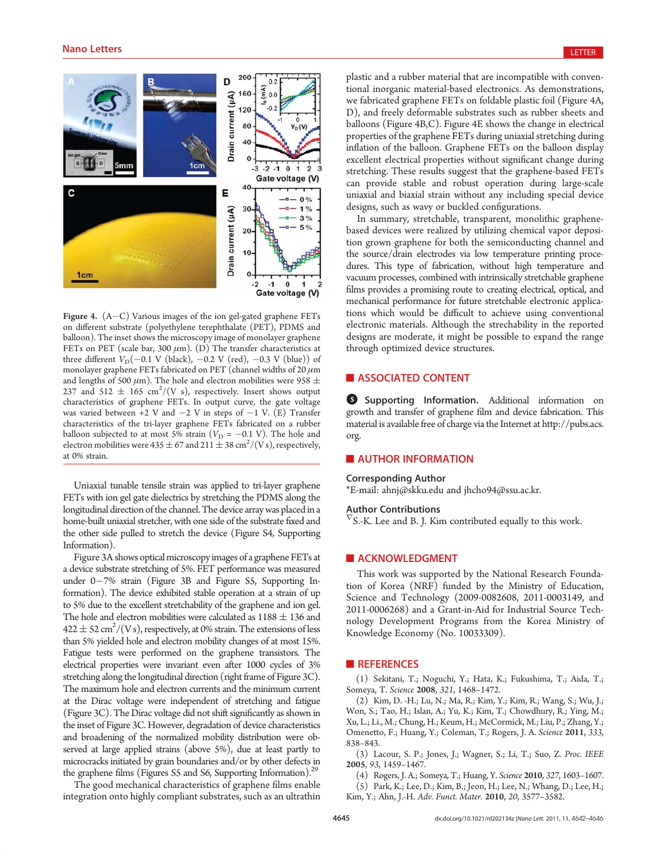

Figure 4.  $(A-C)$  Various images of the ion gel-gated graphene FETs on different substrate (polyethylene terephthalate (PET), PDMS and balloon). The inset shows the microscopy image of monolayer graphene FETs on PET (scale bar, 300  $\mu$ m). (D) The transfer characteristics at three different  $V_D(-0.1 \text{ V (black)}$ ,  $-0.2 \text{ V (red)}$ ,  $-0.3 \text{ V (blue)})$  of monolayer graphene FETs fabricated on PET (channel widths of 20  $\mu$ m and lengths of 500  $\mu$ m). The hole and electron mobilities were 958  $\pm$ 237 and 512  $\pm$  165 cm<sup>2</sup>/(V s), respectively. Insert shows output characteristics of graphene FETs. In output curve, the gate voltage was varied between  $+2$  V and  $-2$  V in steps of  $-1$  V. (E) Transfer characteristics of the tri-layer graphene FETs fabricated on a rubber balloon subjected to at most 5% strain  $(V_D = -0.1 \text{ V})$ . The hole and electron mobilities were 435  $\pm$  67 and 211  $\pm$  38 cm<sup>2</sup>/(V s), respectively, at 0% strain.

Uniaxial tunable tensile strain was applied to tri-layer graphene FETs with ion gel gate dielectrics by stretching the PDMS along the longitudinal direction of the channel. The device array was placed in a home-built uniaxial stretcher, with one side of the substrate fixed and the other side pulled to stretch the device (Figure S4, Supporting Information).

Figure 3A shows optical microscopy images of a graphene FETs at a device substrate stretching of 5%. FET performance was measured under 0-7% strain (Figure 3B and Figure S5, Supporting Information). The device exhibited stable operation at a strain of up to 5% due to the excellent stretchability of the graphene and ion gel. The hole and electron mobilities were calculated as  $1188 \pm 136$  and 422  $\pm$  52 cm<sup>2</sup>/(V s), respectively, at 0% strain. The extensions of less than 5% yielded hole and electron mobility changes of at most 15%. Fatigue tests were performed on the graphene transistors. The electrical properties were invariant even after 1000 cycles of 3% stretching along the longitudinal direction (right frame of Figure 3C). The maximum hole and electron currents and the minimum current at the Dirac voltage were independent of stretching and fatigue (Figure 3C). The Dirac voltage did not shift significantly as shown in the inset of Figure 3C. However, degradation of device characteristics and broadening of the normalized mobility distribution were observed at large applied strains (above 5%), due at least partly to microcracks initiated by grain boundaries and/or by other defects in the graphene films (Figures S5 and S6, Supporting Information).<sup>29</sup>

The good mechanical characteristics of graphene films enable integration onto highly compliant substrates, such as an ultrathin plastic and a rubber material that are incompatible with conventional inorganic material-based electronics. As demonstrations, we fabricated graphene FETs on foldable plastic foil (Figure 4A, D), and freely deformable substrates such as rubber sheets and balloons (Figure 4B,C). Figure 4E shows the change in electrical properties of the graphene FETs during uniaxial stretching during inflation of the balloon. Graphene FETs on the balloon display excellent electrical properties without significant change during stretching. These results suggest that the graphene-based FETs can provide stable and robust operation during large-scale uniaxial and biaxial strain without any including special device designs, such as wavy or buckled configurations.

In summary, stretchable, transparent, monolithic graphenebased devices were realized by utilizing chemical vapor deposition grown graphene for both the semiconducting channel and the source/drain electrodes via low temperature printing procedures. This type of fabrication, without high temperature and vacuum processes, combined with intrinsically stretchable graphene films provides a promising route to creating electrical, optical, and mechanical performance for future stretchable electronic applications which would be difficult to achieve using conventional electronic materials. Although the strechability in the reported designs are moderate, it might be possible to expand the range through optimized device structures.

# **ASSOCIATED CONTENT**

**6** Supporting Information. Additional information on growth and transfer of graphene film and device fabrication. This material is available free of charge via the Internet at http://pubs.acs. org.

# **AUTHOR INFORMATION**

#### Corresponding Author

\*E-mail: ahnj@skku.edu and jhcho94@ssu.ac.kr.

# Author Contributions

 $\sqrt{S}$ S.-K. Lee and B. J. Kim contributed equally to this work.

### **ACKNOWLEDGMENT**

This work was supported by the National Research Foundation of Korea (NRF) funded by the Ministry of Education, Science and Technology (2009-0082608, 2011-0003149, and 2011-0006268) and a Grant-in-Aid for Industrial Source Technology Development Programs from the Korea Ministry of Knowledge Economy (No. 10033309).

# **REFERENCES**

(1) Sekitani, T.; Noguchi, Y.; Hata, K.; Fukushima, T.; Aida, T.; Someya, T. Science 2008, 321, 1468–1472.

(2) Kim, D. -H.; Lu, N.; Ma, R.; Kim, Y.; Kim, R.; Wang, S.; Wu, J.; Won, S.; Tao, H.; Islan, A.; Yu, K.; Kim, T.; Chowdhury, R.; Ying, M.; Xu, L.; Li., M.; Chung, H.; Keum, H.; McCormick, M.; Liu, P.; Zhang, Y.; Omenetto, F.; Huang, Y.; Coleman, T.; Rogers, J. A. Science 2011, 333, 838–843.

(3) Lacour, S. P.; Jones, J.; Wagner, S.; Li, T.; Suo, Z. Proc. IEEE 2005, 93, 1459–1467.

(4) Rogers, J. A.; Someya, T.; Huang, Y. Science 2010, 327, 1603–1607.

(5) Park, K.; Lee, D.; Kim, B.; Jeon, H.; Lee, N.; Whang, D.; Lee, H.;

Kim, Y.; Ahn, J.-H. Adv. Funct. Mater. 2010, 20, 3577–3582.